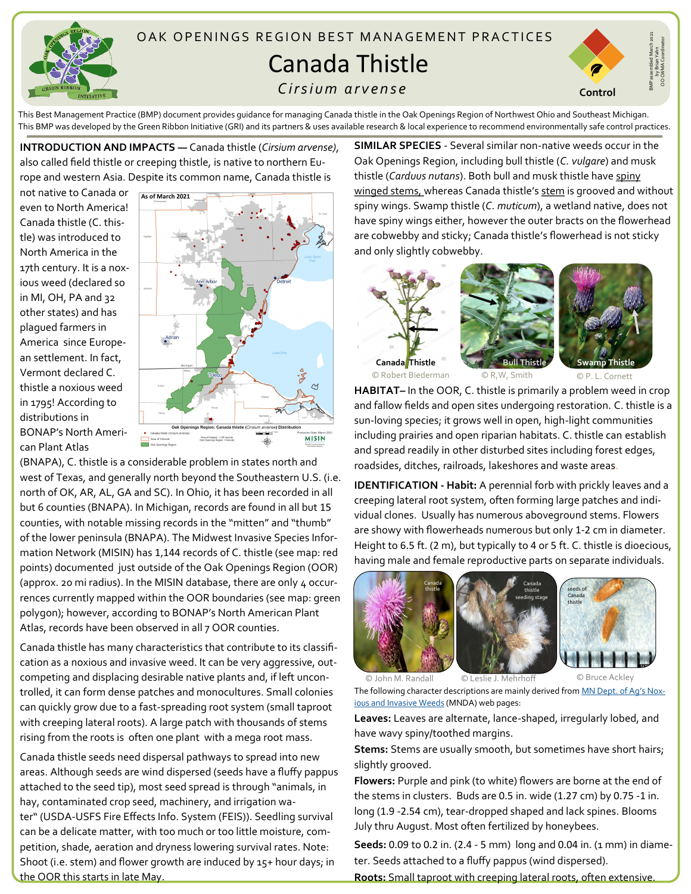

This Best Management Practice (BMP) document provides guidance for managing Canada thistle in the Oak Openings Region of Northwest Ohio and Southeast Michigan. This BMP was developed by the Green Ribbon Initiative (GRI) and its partners & uses available research & local experience to recommend environmentally safe control practices.

**INTRODUCTION AND IMPACTS —** Canada thistle (*Cirsium arvense)*, also called field thistle or creeping thistle, is native to northern Europe and western Asia. Despite its common name, Canada thistle is

not native to Canada or even to North America! Canada thistle (C. thistle) was introduced to North America in the 17th century. It is a noxious weed (declared so in MI, OH, PA and 32 other states) and has plagued farmers in America since European settlement. In fact, Vermont declared C. thistle a noxious weed in 1795! According to distributions in BONAP's North American Plant Atlas



(BNAPA), C. thistle is a considerable problem in states north and west of Texas, and generally north beyond the Southeastern U.S. (i.e. north of OK, AR, AL, GA and SC). In Ohio, it has been recorded in all but 6 counties (BNAPA). In Michigan, records are found in all but 15 counties, with notable missing records in the "mitten" and "thumb" of the lower peninsula (BNAPA). The Midwest Invasive Species Information Network (MISIN) has 1,144 records of C. thistle (see map: red points) documented just outside of the Oak Openings Region (OOR) (approx. 20 mi radius). In the MISIN database, there are only 4 occurrences currently mapped within the OOR boundaries (see map: green polygon); however, according to BONAP's North American Plant Atlas, records have been observed in all 7 OOR counties.

Canada thistle has many characteristics that contribute to its classification as a noxious and invasive weed. It can be very aggressive, outcompeting and displacing desirable native plants and, if left uncontrolled, it can form dense patches and monocultures. Small colonies can quickly grow due to a fast-spreading root system (small taproot with creeping lateral roots). A large patch with thousands of stems rising from the roots is often one plant with a mega root mass.

Canada thistle seeds need dispersal pathways to spread into new areas. Although seeds are wind dispersed (seeds have a fluffy pappus attached to the seed tip), most seed spread is through "animals, in hay, contaminated crop seed, machinery, and irrigation water" (USDA-USFS Fire Effects Info. System (FEIS)). Seedling survival can be a delicate matter, with too much or too little moisture, competition, shade, aeration and dryness lowering survival rates. Note: Shoot (i.e. stem) and flower growth are induced by 15+ hour days; in the OOR this starts in late May.

**SIMILAR SPECIES** - Several similar non-native weeds occur in the Oak Openings Region, including bull thistle (*C. vulgare*) and musk thistle (*Carduus nutans*). Both bull and musk thistle have spiny winged stems, whereas Canada thistle's stem is grooved and without spiny wings. Swamp thistle (*C. muticum*), a wetland native, does not have spiny wings either, however the outer bracts on the flowerhead are cobwebby and sticky; Canada thistle's flowerhead is not sticky and only slightly cobwebby. **Roots: This is a more of the small tappy and the small tap responses and tappy and the small tappy of the small tappy wings either, however the analysis control in the small tappy wings is a control in the small tappy win** 



by Brian Yahn OO CWMA Coordinator

**HABITAT–** In the OOR, C. thistle is primarily a problem weed in crop and fallow fields and open sites undergoing restoration. C. thistle is a sun-loving species; it grows well in open, high-light communities including prairies and open riparian habitats. C. thistle can establish and spread readily in other disturbed sites including forest edges, roadsides, ditches, railroads, lakeshores and waste areas.

**IDENTIFICATION - Habit:** A perennial forb with prickly leaves and a creeping lateral root system, often forming large patches and individual clones. Usually has numerous aboveground stems. Flowers are showy with flowerheads numerous but only 1-2 cm in diameter. Height to 6.5 ft. (2 m), but typically to 4 or 5 ft. C. thistle is dioecious, having male and female reproductive parts on separate individuals.





© John M. Randall

© Leslie J. Mehrhoff © Bruce Ackley

The following character descriptions are mainly derived from [MN Dept. of Ag](https://www.mda.state.mn.us/plants/pestmanagement/weedcontrol/noxiouslist/canadathistle)'s Nox[ious and Invasive Weeds](https://www.mda.state.mn.us/plants/pestmanagement/weedcontrol/noxiouslist/canadathistle) (MNDA) web pages:

**Leaves:** Leaves are alternate, lance-shaped, irregularly lobed, and have wavy spiny/toothed margins.

**Stems:** Stems are usually smooth, but sometimes have short hairs; slightly grooved.

**Flowers:** Purple and pink (to white) flowers are borne at the end of the stems in clusters. Buds are 0.5 in. wide (1.27 cm) by 0.75 -1 in. long (1.9 -2.54 cm), tear-dropped shaped and lack spines. Blooms July thru August. Most often fertilized by honeybees.

**Seeds:** 0.09 to 0.2 in. (2.4 - 5 mm) long and 0.04 in. (1 mm) in diameter. Seeds attached to a fluffy pappus (wind dispersed).